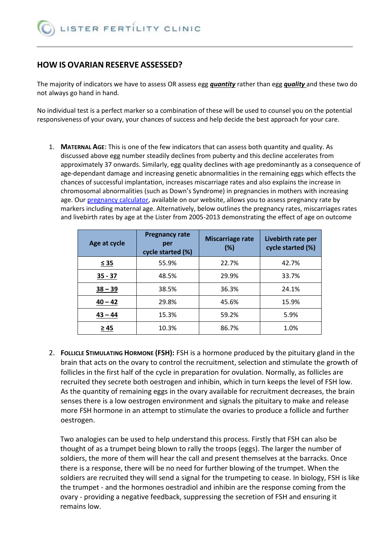# **HOW IS OVARIAN RESERVE ASSESSED?**

The majority of indicators we have to assess OR assess egg *quantity* rather than egg *quality* and these two do not always go hand in hand.

No individual test is a perfect marker so a combination of these will be used to counsel you on the potential responsiveness of your ovary, your chances of success and help decide the best approach for your care.

1. **MATERNAL AGE**: This is one of the few indicators that can assess both quantity and quality. As discussed above egg number steadily declines from puberty and this decline accelerates from approximately 37 onwards. Similarly, egg quality declines with age predominantly as a consequence of age-dependant damage and increasing genetic abnormalities in the remaining eggs which effects the chances of successful implantation, increases miscarriage rates and also explains the increase in chromosomal abnormalities (such as Down's Syndrome) in pregnancies in mothers with increasing age. Our [pregnancy calculator,](http://www.ivf.org.uk/success-rates/pregnancy-calculator/) available on our website, allows you to assess pregnancy rate by markers including maternal age. Alternatively, below outlines the pregnancy rates, miscarriages rates and livebirth rates by age at the Lister from 2005-2013 demonstrating the effect of age on outcome

| Age at cycle       | <b>Pregnancy rate</b><br>per<br>cycle started (%) | <b>Miscarriage rate</b><br>(%) | Livebirth rate per<br>cycle started (%) |  |
|--------------------|---------------------------------------------------|--------------------------------|-----------------------------------------|--|
| $\leq 35$          | 55.9%                                             | 22.7%                          | 42.7%                                   |  |
| $35 - 37$          | 48.5%                                             | 29.9%                          | 33.7%                                   |  |
| $38 - 39$          | 38.5%                                             | 36.3%                          | 24.1%                                   |  |
| $40 - 42$          | 29.8%                                             |                                | 15.9%                                   |  |
| 15.3%<br>$43 - 44$ |                                                   | 59.2%                          | 5.9%                                    |  |
| ≥ 45               | 10.3%                                             | 86.7%                          | 1.0%                                    |  |

2. **FOLLICLE STIMULATING HORMONE (FSH):** FSH is a hormone produced by the pituitary gland in the brain that acts on the ovary to control the recruitment, selection and stimulate the growth of follicles in the first half of the cycle in preparation for ovulation. Normally, as follicles are recruited they secrete both oestrogen and inhibin, which in turn keeps the level of FSH low. As the quantity of remaining eggs in the ovary available for recruitment decreases, the brain senses there is a low oestrogen environment and signals the pituitary to make and release more FSH hormone in an attempt to stimulate the ovaries to produce a follicle and further oestrogen.

Two analogies can be used to help understand this process. Firstly that FSH can also be thought of as a trumpet being blown to rally the troops (eggs). The larger the number of soldiers, the more of them will hear the call and present themselves at the barracks. Once there is a response, there will be no need for further blowing of the trumpet. When the soldiers are recruited they will send a signal for the trumpeting to cease. In biology, FSH is like the trumpet - and the hormones oestradiol and inhibin are the response coming from the ovary - providing a negative feedback, suppressing the secretion of FSH and ensuring it remains low.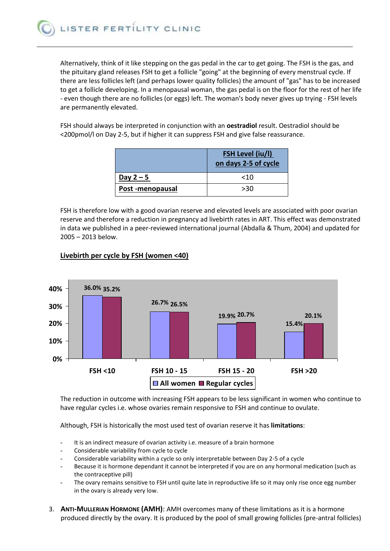Alternatively, think of it like stepping on the gas pedal in the car to get going. The FSH is the gas, and the pituitary gland releases FSH to get a follicle "going" at the beginning of every menstrual cycle. If there are less follicles left (and perhaps lower quality follicles) the amount of "gas" has to be increased to get a follicle developing. In a menopausal woman, the gas pedal is on the floor for the rest of her life - even though there are no follicles (or eggs) left. The woman's body never gives up trying - FSH levels are permanently elevated.

FSH should always be interpreted in conjunction with an **oestradiol** result. Oestradiol should be <200pmol/l on Day 2-5, but if higher it can suppress FSH and give false reassurance.

|                 | <b>FSH Level (iu/l)</b><br>on days 2-5 of cycle |
|-----------------|-------------------------------------------------|
| Day $2 - 5$     | $<$ 10                                          |
| Post-menopausal | >30                                             |

FSH is therefore low with a good ovarian reserve and elevated levels are associated with poor ovarian reserve and therefore a reduction in pregnancy ad livebirth rates in ART. This effect was demonstrated in data we published in a peer-reviewed international journal (Abdalla & Thum, 2004) and updated for 2005 – 2013 below.



## **Livebirth per cycle by FSH (women <40)**

The reduction in outcome with increasing FSH appears to be less significant in women who continue to have regular cycles i.e. whose ovaries remain responsive to FSH and continue to ovulate.

Although, FSH is historically the most used test of ovarian reserve it has **limitations**:

- It is an indirect measure of ovarian activity i.e. measure of a brain hormone
- Considerable variability from cycle to cycle
- Considerable variability within a cycle so only interpretable between Day 2-5 of a cycle
- Because it is hormone dependant it cannot be interpreted if you are on any hormonal medication (such as the contraceptive pill)
- The ovary remains sensitive to FSH until quite late in reproductive life so it may only rise once egg number in the ovary is already very low.
- 3. **ANTI-MULLERIAN HORMONE (AMH)**: AMH overcomes many of these limitations as it is a hormone produced directly by the ovary. It is produced by the pool of small growing follicles (pre-antral follicles)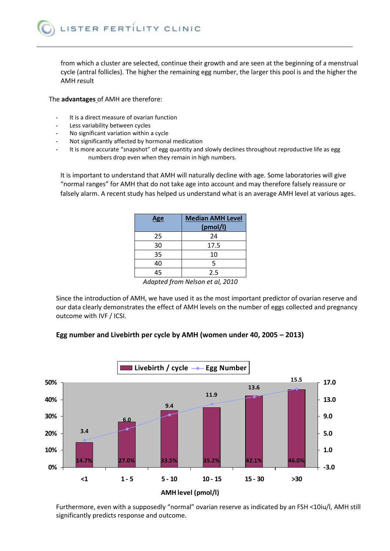from which a cluster are selected, continue their growth and are seen at the beginning of a menstrual cycle (antral follicles). The higher the remaining egg number, the larger this pool is and the higher the AMH result

The **advantages** of AMH are therefore:

- It is a direct measure of ovarian function
- Less variability between cycles
- No significant variation within a cycle
- Not significantly affected by hormonal medication
- It is more accurate "snapshot" of egg quantity and slowly declines throughout reproductive life as egg numbers drop even when they remain in high numbers.

It is important to understand that AMH will naturally decline with age. Some laboratories will give "normal ranges" for AMH that do not take age into account and may therefore falsely reassure or falsely alarm. A recent study has helped us understand what is an average AMH level at various ages.

| <b>Age</b> | <b>Median AMH Level</b><br>(pmol/l) |  |  |
|------------|-------------------------------------|--|--|
| 25         | 24                                  |  |  |
| 30         | 17.5                                |  |  |
| 35         | 10                                  |  |  |
| 40         | 5                                   |  |  |
| 45         | 2.5                                 |  |  |

*Adapted from Nelson et al, 2010*

Since the introduction of AMH, we have used it as the most important predictor of ovarian reserve and our data clearly demonstrates the effect of AMH levels on the number of eggs collected and pregnancy outcome with IVF / ICSI.

### **Egg number and Livebirth per cycle by AMH (women under 40, 2005 – 2013)**



Furthermore, even with a supposedly "normal" ovarian reserve as indicated by an FSH <10iu/l, AMH still significantly predicts response and outcome.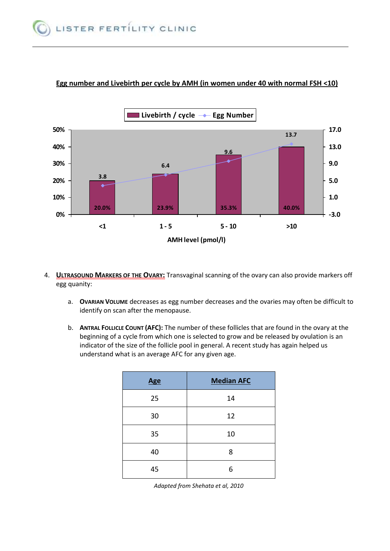

## **Egg number and Livebirth per cycle by AMH (in women under 40 with normal FSH <10)**

- 4. **ULTRASOUND MARKERS OF THE OVARY:** Transvaginal scanning of the ovary can also provide markers off egg quanity:
	- a. **OVARIAN VOLUME** decreases as egg number decreases and the ovaries may often be difficult to identify on scan after the menopause.
	- b. **ANTRAL FOLLICLE COUNT (AFC):** The number of these follicles that are found in the ovary at the beginning of a cycle from which one is selected to grow and be released by ovulation is an indicator of the size of the follicle pool in general. A recent study has again helped us understand what is an average AFC for any given age.

| <b>Age</b> | <b>Median AFC</b> |  |  |
|------------|-------------------|--|--|
| 25         | 14                |  |  |
| 30         | 12                |  |  |
| 35         | 10                |  |  |
| 40         | 8                 |  |  |
| 45         | 6                 |  |  |

*Adapted from Shehata et al, 2010*